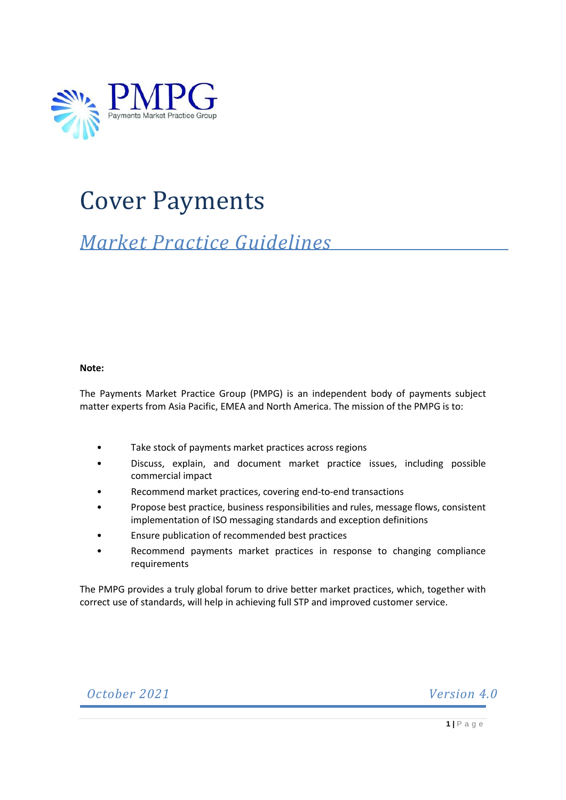

# Cover Payments

# *Market Practice Guidelines*

#### **Note:**

The Payments Market Practice Group (PMPG) is an independent body of payments subject matter experts from Asia Pacific, EMEA and North America. The mission of the PMPG is to:

- Take stock of payments market practices across regions
- Discuss, explain, and document market practice issues, including possible commercial impact
- Recommend market practices, covering end-to-end transactions
- Propose best practice, business responsibilities and rules, message flows, consistent implementation of ISO messaging standards and exception definitions
- Ensure publication of recommended best practices
- Recommend payments market practices in response to changing compliance requirements

The PMPG provides a truly global forum to drive better market practices, which, together with correct use of standards, will help in achieving full STP and improved customer service.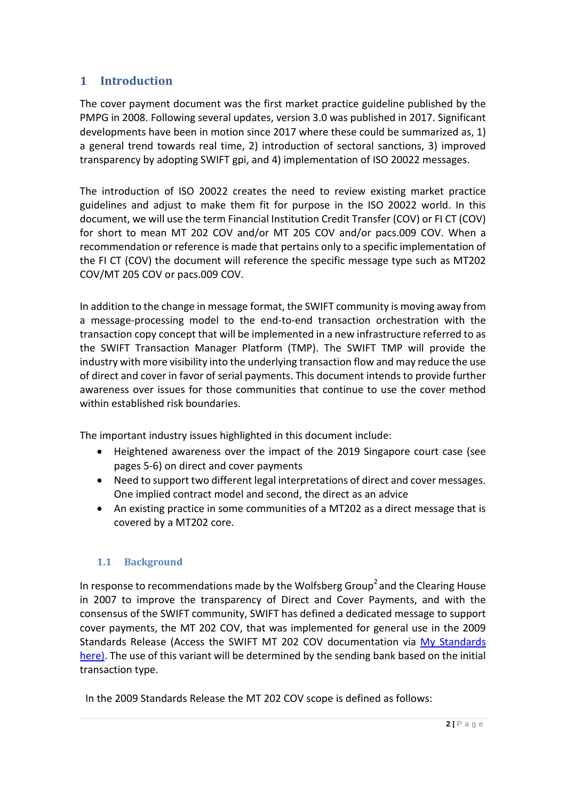# **1 Introduction**

The cover payment document was the first market practice guideline published by the PMPG in 2008. Following several updates, version 3.0 was published in 2017. Significant developments have been in motion since 2017 where these could be summarized as, 1) a general trend towards real time, 2) introduction of sectoral sanctions, 3) improved transparency by adopting SWIFT gpi, and 4) implementation of ISO 20022 messages.

The introduction of ISO 20022 creates the need to review existing market practice guidelines and adjust to make them fit for purpose in the ISO 20022 world. In this document, we will use the term Financial Institution Credit Transfer (COV) or FI CT (COV) for short to mean MT 202 COV and/or MT 205 COV and/or pacs.009 COV. When a recommendation or reference is made that pertains only to a specific implementation of the FI CT (COV) the document will reference the specific message type such as MT202 COV/MT 205 COV or pacs.009 COV.

In addition to the change in message format, the SWIFT community is moving away from a message-processing model to the end-to-end transaction orchestration with the transaction copy concept that will be implemented in a new infrastructure referred to as the SWIFT Transaction Manager Platform (TMP). The SWIFT TMP will provide the industry with more visibility into the underlying transaction flow and may reduce the use of direct and cover in favor of serial payments. This document intends to provide further awareness over issues for those communities that continue to use the cover method within established risk boundaries.

The important industry issues highlighted in this document include:

- Heightened awareness over the impact of the 2019 Singapore court case (see pages 5-6) on direct and cover payments
- Need to support two different legal interpretations of direct and cover messages. One implied contract model and second, the direct as an advice
- An existing practice in some communities of a MT202 as a direct message that is covered by a MT202 core.

# **1.1 Background**

In response to recommendations made by the Wolfsberg Group<sup>2</sup> and the Clearing House in 2007 to improve the transparency of Direct and Cover Payments, and with the consensus of the SWIFT community, SWIFT has defined a dedicated message to support cover payments, the MT 202 COV, that was implemented for general use in the 2009 Standards Release (Access the SWIFT MT 202 COV documentation via [My Standards](https://mystandards.swift.com/) here). The use of this variant will be determined by the sending bank based on the initial transaction type.

In the 2009 Standards Release the MT 202 COV scope is defined as follows: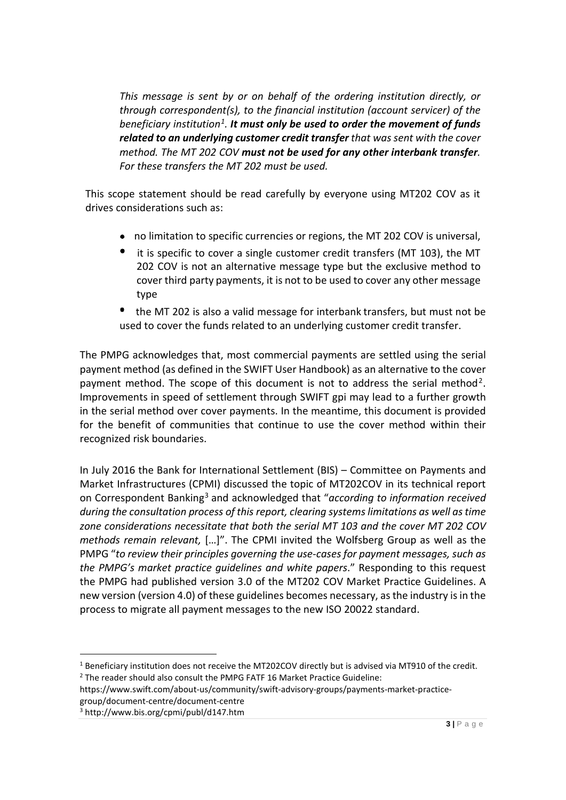*This message is sent by or on behalf of the ordering institution directly, or through correspondent(s), to the financial institution (account servicer) of the beneficiary institution[1.](#page-2-0) It must only be used to order the movement of funds related to an underlying customer credit transfer that was sent with the cover method. The MT 202 COV must not be used for any other interbank transfer. For these transfers the MT 202 must be used.*

This scope statement should be read carefully by everyone using MT202 COV as it drives considerations such as:

- no limitation to specific currencies or regions, the MT 202 COV is universal,
- it is specific to cover a single customer credit transfers (MT 103), the MT 202 COV is not an alternative message type but the exclusive method to cover third party payments, it is not to be used to cover any other message type
- the MT 202 is also a valid message for interbank transfers, but must not be used to cover the funds related to an underlying customer credit transfer.

The PMPG acknowledges that, most commercial payments are settled using the serial payment method (as defined in the SWIFT User Handbook) as an alternative to the cover payment method. The scope of this document is not to address the serial method<sup>[2](#page-2-1)</sup>. Improvements in speed of settlement through SWIFT gpi may lead to a further growth in the serial method over cover payments. In the meantime, this document is provided for the benefit of communities that continue to use the cover method within their recognized risk boundaries.

In July 2016 the Bank for International Settlement (BIS) – Committee on Payments and Market Infrastructures (CPMI) discussed the topic of MT202COV in its technical report on Correspondent Banking[3](#page-2-2) and acknowledged that "*according to information received during the consultation process of this report, clearing systems limitations as well as time zone considerations necessitate that both the serial MT 103 and the cover MT 202 COV methods remain relevant,* […]". The CPMI invited the Wolfsberg Group as well as the PMPG "*to review their principles governing the use-cases for payment messages, such as the PMPG's market practice guidelines and white papers*." Responding to this request the PMPG had published version 3.0 of the MT202 COV Market Practice Guidelines. A new version (version 4.0) of these guidelines becomes necessary, as the industry is in the process to migrate all payment messages to the new ISO 20022 standard.

<span id="page-2-0"></span><sup>1</sup> Beneficiary institution does not receive the MT202COV directly but is advised via MT910 of the credit.  $2$  The reader should also consult the PMPG FATF 16 Market Practice Guideline:

<span id="page-2-1"></span>https://www.swift.com/about-us/community/swift-advisory-groups/payments-market-practicegroup/document-centre/document-centre

<span id="page-2-2"></span><sup>3</sup> http://www.bis.org/cpmi/publ/d147.htm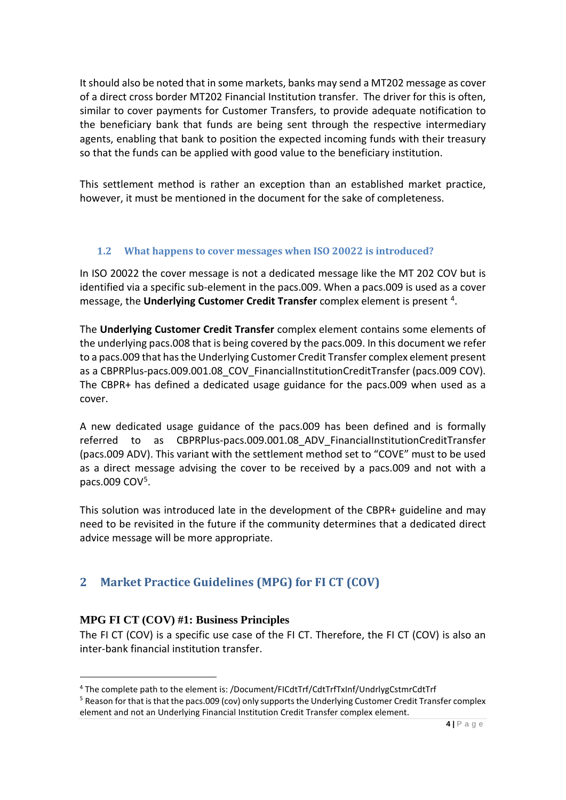It should also be noted that in some markets, banks may send a MT202 message as cover of a direct cross border MT202 Financial Institution transfer. The driver for this is often, similar to cover payments for Customer Transfers, to provide adequate notification to the beneficiary bank that funds are being sent through the respective intermediary agents, enabling that bank to position the expected incoming funds with their treasury so that the funds can be applied with good value to the beneficiary institution.

This settlement method is rather an exception than an established market practice, however, it must be mentioned in the document for the sake of completeness.

# **1.2 What happens to cover messages when ISO 20022 is introduced?**

In ISO 20022 the cover message is not a dedicated message like the MT 202 COV but is identified via a specific sub-element in the pacs.009. When a pacs.009 is used as a cover message, the **Underlying Customer Credit Transfer** complex element is present [4.](#page-3-0)

The **Underlying Customer Credit Transfer** complex element contains some elements of the underlying pacs.008 that is being covered by the pacs.009. In this document we refer to a pacs.009 that has the Underlying Customer Credit Transfer complex element present as a CBPRPlus-pacs.009.001.08\_COV\_FinancialInstitutionCreditTransfer (pacs.009 COV). The CBPR+ has defined a dedicated usage guidance for the pacs.009 when used as a cover.

A new dedicated usage guidance of the pacs.009 has been defined and is formally referred to as CBPRPlus-pacs.009.001.08\_ADV\_FinancialInstitutionCreditTransfer (pacs.009 ADV). This variant with the settlement method set to "COVE" must to be used as a direct message advising the cover to be received by a pacs.009 and not with a pacs.009 CO[V5.](#page-3-1)

This solution was introduced late in the development of the CBPR+ guideline and may need to be revisited in the future if the community determines that a dedicated direct advice message will be more appropriate.

# **2 Market Practice Guidelines (MPG) for FI CT (COV)**

# **MPG FI CT (COV) #1: Business Principles**

The FI CT (COV) is a specific use case of the FI CT. Therefore, the FI CT (COV) is also an inter-bank financial institution transfer.

<span id="page-3-0"></span><sup>4</sup> The complete path to the element is: /Document/FICdtTrf/CdtTrfTxInf/UndrlygCstmrCdtTrf

<span id="page-3-1"></span> $5$  Reason for that is that the pacs.009 (cov) only supports the Underlying Customer Credit Transfer complex element and not an Underlying Financial Institution Credit Transfer complex element.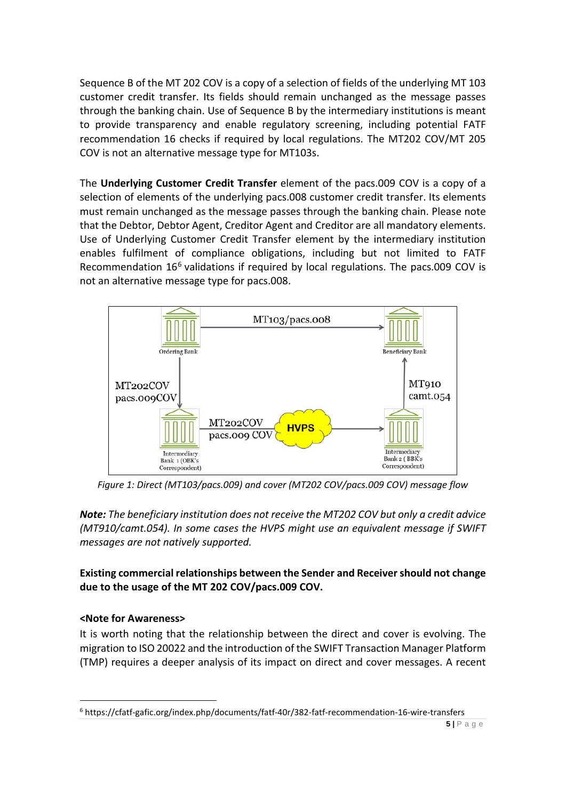Sequence B of the MT 202 COV is a copy of a selection of fields of the underlying MT 103 customer credit transfer. Its fields should remain unchanged as the message passes through the banking chain. Use of Sequence B by the intermediary institutions is meant to provide transparency and enable regulatory screening, including potential FATF recommendation 16 checks if required by local regulations. The MT202 COV/MT 205 COV is not an alternative message type for MT103s.

The **Underlying Customer Credit Transfer** element of the pacs.009 COV is a copy of a selection of elements of the underlying pacs.008 customer credit transfer. Its elements must remain unchanged as the message passes through the banking chain. Please note that the Debtor, Debtor Agent, Creditor Agent and Creditor are all mandatory elements. Use of Underlying Customer Credit Transfer element by the intermediary institution enables fulfilment of compliance obligations, including but not limited to FATF Recommendation 1[6](#page-4-0)<sup>6</sup> validations if required by local regulations. The pacs.009 COV is not an alternative message type for pacs.008.



*Figure 1: Direct (MT103/pacs.009) and cover (MT202 COV/pacs.009 COV) message flow*

*Note: The beneficiary institution does not receive the MT202 COV but only a credit advice (MT910/camt.054). In some cases the HVPS might use an equivalent message if SWIFT messages are not natively supported.*

**Existing commercial relationships between the Sender and Receiver should not change due to the usage of the MT 202 COV/pacs.009 COV.**

# **<Note for Awareness>**

It is worth noting that the relationship between the direct and cover is evolving. The migration to ISO 20022 and the introduction of the SWIFT Transaction Manager Platform (TMP) requires a deeper analysis of its impact on direct and cover messages. A recent

<span id="page-4-0"></span><sup>6</sup> https://cfatf-gafic.org/index.php/documents/fatf-40r/382-fatf-recommendation-16-wire-transfers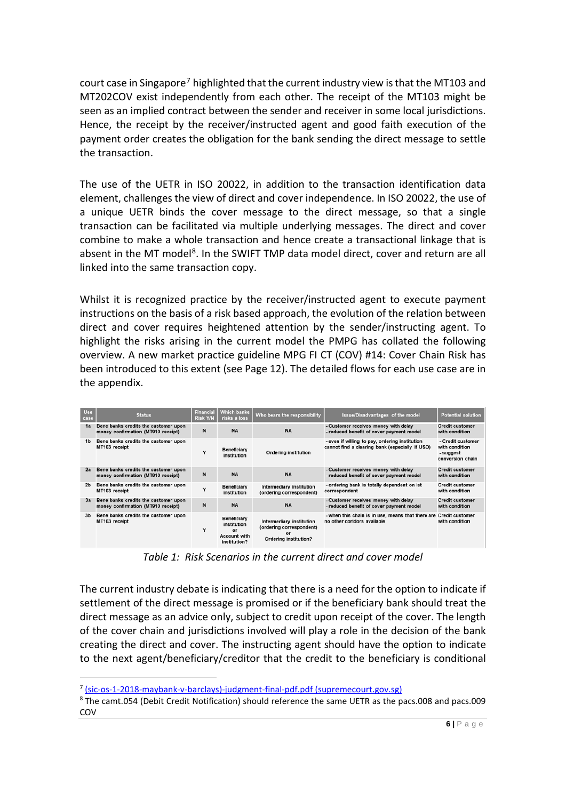court case in Singapore<sup>[7](#page-5-0)</sup> highlighted that the current industry view is that the MT103 and MT202COV exist independently from each other. The receipt of the MT103 might be seen as an implied contract between the sender and receiver in some local jurisdictions. Hence, the receipt by the receiver/instructed agent and good faith execution of the payment order creates the obligation for the bank sending the direct message to settle the transaction.

The use of the UETR in ISO 20022, in addition to the transaction identification data element, challenges the view of direct and cover independence. In ISO 20022, the use of a unique UETR binds the cover message to the direct message, so that a single transaction can be facilitated via multiple underlying messages. The direct and cover combine to make a whole transaction and hence create a transactional linkage that is absent in the MT model<sup>[8](#page-5-1)</sup>. In the SWIFT TMP data model direct, cover and return are all linked into the same transaction copy.

Whilst it is recognized practice by the receiver/instructed agent to execute payment instructions on the basis of a risk based approach, the evolution of the relation between direct and cover requires heightened attention by the sender/instructing agent. To highlight the risks arising in the current model the PMPG has collated the following overview. A new market practice guideline MPG FI CT (COV) #14: Cover Chain Risk has been introduced to this extent (see Page 12). The detailed flows for each use case are in the appendix.

| Use<br>case    | <b>Status</b>                                                              | <b>Financial</b><br><b>Risk Y/N</b> | <b>Which banks</b><br>risks a loss                                      | Who bears the responsibility                                                        | <b>Issue/Disadvantages of the model</b>                                                           | <b>Potential solution</b>                                            |
|----------------|----------------------------------------------------------------------------|-------------------------------------|-------------------------------------------------------------------------|-------------------------------------------------------------------------------------|---------------------------------------------------------------------------------------------------|----------------------------------------------------------------------|
| 1a             | Bene banks credits the customer upon<br>money confirmation (MT910 receipt) | N                                   | <b>NA</b>                                                               | <b>NA</b>                                                                           | - Customer receives money with delay<br>- reduced benefit of cover payment model                  | <b>Credit customer</b><br>with condition                             |
| 1 <sub>b</sub> | Bene banks credits the customer upon<br>MT103 receipt                      |                                     | <b>Beneficiary</b><br>institution                                       | <b>Ordering institution</b>                                                         | - even if willing to pay, ordering institution<br>cannot find a clearing bank (especially if USD) | - Credit customer<br>with condition<br>- suggest<br>conversion chain |
| 2a             | Bene banks credits the customer upon<br>money confirmation (MT910 receipt) | N                                   | <b>NA</b>                                                               | <b>NA</b>                                                                           | - Customer receives money with delay<br>- reduced benefit of cover payment model                  | <b>Credit customer</b><br>with condition                             |
| 2 <sub>b</sub> | Bene banks credits the customer upon<br>MT103 receipt                      |                                     | Beneficiary<br>institution                                              | Intermediary institution<br>(ordering correspondent)                                | - ordering bank is totally dependent on ist<br>correspondent                                      | <b>Credit customer</b><br>with condition                             |
| 3a             | Bene banks credits the customer upon<br>money confirmation (MT910 receipt) | N                                   | <b>NA</b>                                                               | <b>NA</b>                                                                           | - Customer receives money with delay<br>- reduced benefit of cover payment model                  | <b>Credit customer</b><br>with condition                             |
| 3 <sub>b</sub> | Bene banks credits the customer upon<br>MT103 receipt                      | v                                   | Beneficiary<br>institution<br>or<br><b>Account with</b><br>institution? | Intermediary institution<br>(ordering correspondent)<br>or<br>Ordering institution? | - when this chain is in use, means that there are<br>no other coridors available                  | <b>Credit customer</b><br>with condition                             |

*Table 1: Risk Scenarios in the current direct and cover model*

The current industry debate is indicating that there is a need for the option to indicate if settlement of the direct message is promised or if the beneficiary bank should treat the direct message as an advice only, subject to credit upon receipt of the cover. The length of the cover chain and jurisdictions involved will play a role in the decision of the bank creating the direct and cover. The instructing agent should have the option to indicate to the next agent/beneficiary/creditor that the credit to the beneficiary is conditional

<span id="page-5-0"></span><sup>7</sup> [\(sic-os-1-2018-maybank-v-barclays\)-judgment-final-pdf.pdf \(supremecourt.gov.sg\)](https://www.supremecourt.gov.sg/docs/default-source/module-document/judgement/(sic-os-1-2018-maybank-v-barclays)-judgment-final-pdf.pdf)

<span id="page-5-1"></span><sup>8</sup> The camt.054 (Debit Credit Notification) should reference the same UETR as the pacs.008 and pacs.009 COV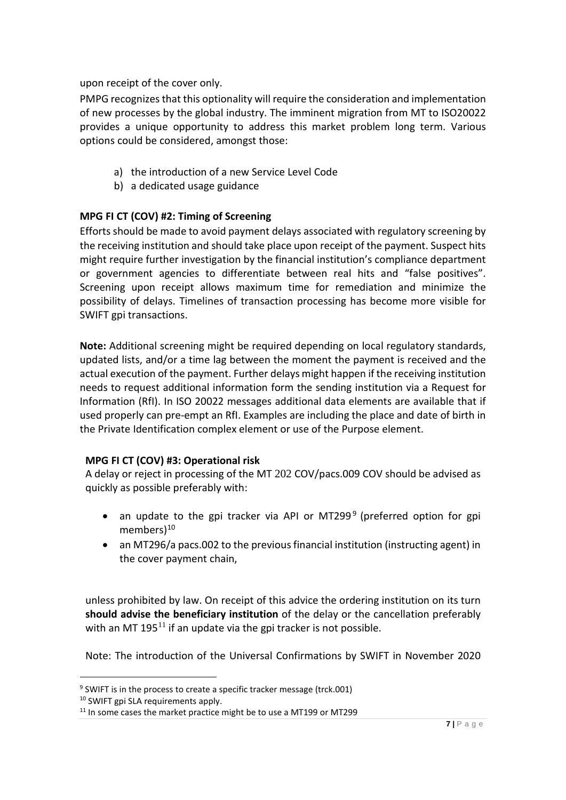upon receipt of the cover only.

PMPG recognizes that this optionality will require the consideration and implementation of new processes by the global industry. The imminent migration from MT to ISO20022 provides a unique opportunity to address this market problem long term. Various options could be considered, amongst those:

- a) the introduction of a new Service Level Code
- b) a dedicated usage guidance

# **MPG FI CT (COV) #2: Timing of Screening**

Efforts should be made to avoid payment delays associated with regulatory screening by the receiving institution and should take place upon receipt of the payment. Suspect hits might require further investigation by the financial institution's compliance department or government agencies to differentiate between real hits and "false positives". Screening upon receipt allows maximum time for remediation and minimize the possibility of delays. Timelines of transaction processing has become more visible for SWIFT gpi transactions.

**Note:** Additional screening might be required depending on local regulatory standards, updated lists, and/or a time lag between the moment the payment is received and the actual execution of the payment. Further delays might happen if the receiving institution needs to request additional information form the sending institution via a Request for Information (RfI). In ISO 20022 messages additional data elements are available that if used properly can pre-empt an RfI. Examples are including the place and date of birth in the Private Identification complex element or use of the Purpose element.

# **MPG FI CT (COV) #3: Operational risk**

A delay or reject in processing of the MT 202 COV/pacs.009 COV should be advised as quickly as possible preferably with:

- an update to the gpi tracker via API or MT2[9](#page-6-0)9 $9$  (preferred option for gpi members)<sup>[10](#page-6-1)</sup>
- an MT296/a pacs.002 to the previous financial institution (instructing agent) in the cover payment chain,

unless prohibited by law. On receipt of this advice the ordering institution on its turn **should advise the beneficiary institution** of the delay or the cancellation preferably with an MT 195 $^{11}$  $^{11}$  $^{11}$  if an update via the gpi tracker is not possible.

Note: The introduction of the Universal Confirmations by SWIFT in November 2020

<span id="page-6-0"></span><sup>&</sup>lt;sup>9</sup> SWIFT is in the process to create a specific tracker message (trck.001)

<span id="page-6-1"></span><sup>&</sup>lt;sup>10</sup> SWIFT gpi SLA requirements apply.

<span id="page-6-2"></span><sup>&</sup>lt;sup>11</sup> In some cases the market practice might be to use a MT199 or MT299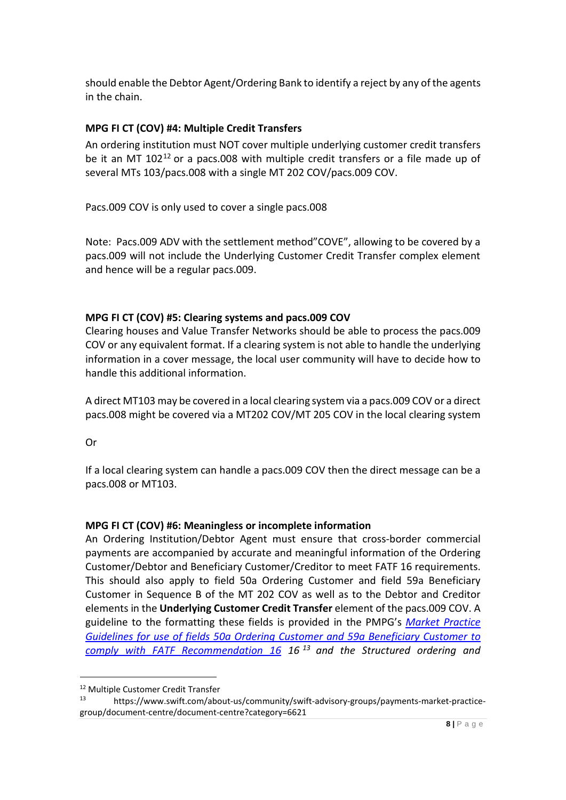should enable the Debtor Agent/Ordering Bank to identify a reject by any of the agents in the chain.

# **MPG FI CT (COV) #4: Multiple Credit Transfers**

An ordering institution must NOT cover multiple underlying customer credit transfers be it an MT  $102^{12}$  $102^{12}$  $102^{12}$  or a pacs.008 with multiple credit transfers or a file made up of several MTs 103/pacs.008 with a single MT 202 COV/pacs.009 COV.

Pacs.009 COV is only used to cover a single pacs.008

Note: Pacs.009 ADV with the settlement method"COVE", allowing to be covered by a pacs.009 will not include the Underlying Customer Credit Transfer complex element and hence will be a regular pacs.009.

#### **MPG FI CT (COV) #5: Clearing systems and pacs.009 COV**

Clearing houses and Value Transfer Networks should be able to process the pacs.009 COV or any equivalent format. If a clearing system is not able to handle the underlying information in a cover message, the local user community will have to decide how to handle this additional information.

A direct MT103 may be covered in a local clearing system via a pacs.009 COV or a direct pacs.008 might be covered via a MT202 COV/MT 205 COV in the local clearing system

Or

If a local clearing system can handle a pacs.009 COV then the direct message can be a pacs.008 or MT103.

# **MPG FI CT (COV) #6: Meaningless or incomplete information**

An Ordering Institution/Debtor Agent must ensure that cross-border commercial payments are accompanied by accurate and meaningful information of the Ordering Customer/Debtor and Beneficiary Customer/Creditor to meet FATF 16 requirements. This should also apply to field 50a Ordering Customer and field 59a Beneficiary Customer in Sequence B of the MT 202 COV as well as to the Debtor and Creditor elements in the **Underlying Customer Credit Transfer** element of the pacs.009 COV. A guideline to the formatting these fields is provided in the PMPG's *[Market Practice](https://www.swift.com/about-us/community/swift-advisory-groups/payments-market-practice-group/document-centre/document-centre?category=6621)  [Guidelines for use of fields 50a Ordering Customer and 59a Beneficiary Customer to](https://www.swift.com/about-us/community/swift-advisory-groups/payments-market-practice-group/document-centre/document-centre?category=6621)  [comply with FATF Recommendation 16](https://www.swift.com/about-us/community/swift-advisory-groups/payments-market-practice-group/document-centre/document-centre?category=6621) 16 [13](#page-7-1) and the Structured ordering and* 

<span id="page-7-0"></span><sup>12</sup> Multiple Customer Credit Transfer

<span id="page-7-1"></span><sup>13</sup> https://www.swift.com/about-us/community/swift-advisory-groups/payments-market-practicegroup/document-centre/document-centre?category=6621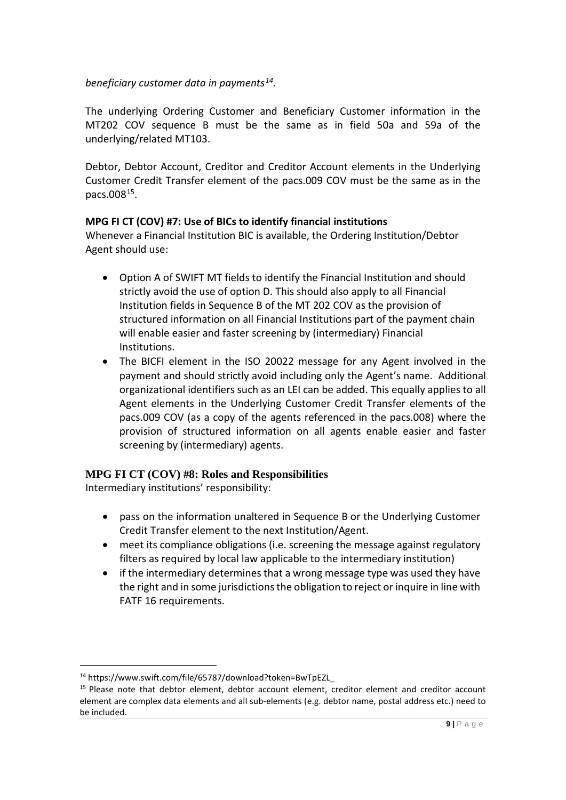# *beneficiary customer data in payments[14.](#page-8-0)*

The underlying Ordering Customer and Beneficiary Customer information in the MT202 COV sequence B must be the same as in field 50a and 59a of the underlying/related MT103.

Debtor, Debtor Account, Creditor and Creditor Account elements in the Underlying Customer Credit Transfer element of the pacs.009 COV must be the same as in the pacs.00[815.](#page-8-1)

# **MPG FI CT (COV) #7: Use of BICs to identify financial institutions**

Whenever a Financial Institution BIC is available, the Ordering Institution/Debtor Agent should use:

- Option A of SWIFT MT fields to identify the Financial Institution and should strictly avoid the use of option D. This should also apply to all Financial Institution fields in Sequence B of the MT 202 COV as the provision of structured information on all Financial Institutions part of the payment chain will enable easier and faster screening by (intermediary) Financial Institutions.
- The BICFI element in the ISO 20022 message for any Agent involved in the payment and should strictly avoid including only the Agent's name. Additional organizational identifiers such as an LEI can be added. This equally applies to all Agent elements in the Underlying Customer Credit Transfer elements of the pacs.009 COV (as a copy of the agents referenced in the pacs.008) where the provision of structured information on all agents enable easier and faster screening by (intermediary) agents.

# **MPG FI CT (COV) #8: Roles and Responsibilities**

Intermediary institutions' responsibility:

- pass on the information unaltered in Sequence B or the Underlying Customer Credit Transfer element to the next Institution/Agent.
- meet its compliance obligations (i.e. screening the message against regulatory filters as required by local law applicable to the intermediary institution)
- if the intermediary determines that a wrong message type was used they have the right and in some jurisdictions the obligation to reject or inquire in line with FATF 16 requirements.

<span id="page-8-0"></span><sup>14</sup> https://www.swift.com/file/65787/download?token=BwTpEZL\_

<span id="page-8-1"></span><sup>&</sup>lt;sup>15</sup> Please note that debtor element, debtor account element, creditor element and creditor account element are complex data elements and all sub-elements (e.g. debtor name, postal address etc.) need to be included.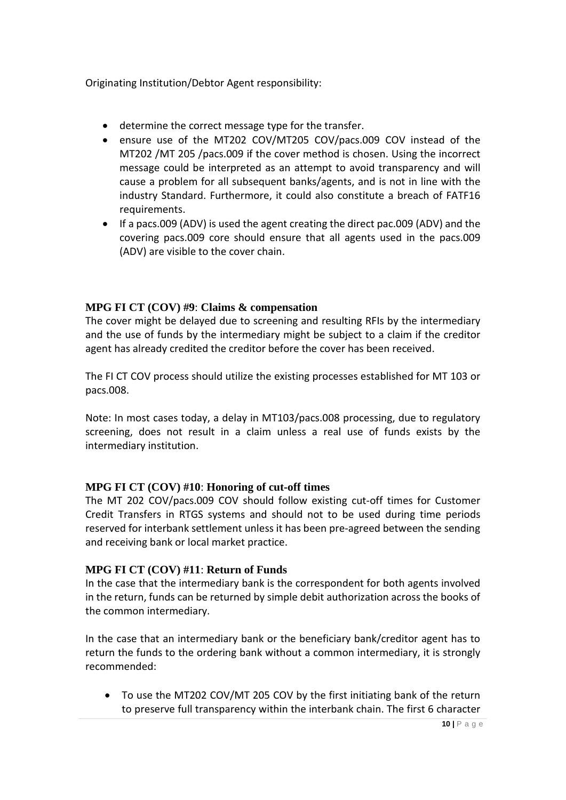Originating Institution/Debtor Agent responsibility:

- determine the correct message type for the transfer.
- ensure use of the MT202 COV/MT205 COV/pacs.009 COV instead of the MT202 /MT 205 /pacs.009 if the cover method is chosen. Using the incorrect message could be interpreted as an attempt to avoid transparency and will cause a problem for all subsequent banks/agents, and is not in line with the industry Standard. Furthermore, it could also constitute a breach of FATF16 requirements.
- If a pacs.009 (ADV) is used the agent creating the direct pac.009 (ADV) and the covering pacs.009 core should ensure that all agents used in the pacs.009 (ADV) are visible to the cover chain.

# **MPG FI CT (COV) #9**: **Claims & compensation**

The cover might be delayed due to screening and resulting RFIs by the intermediary and the use of funds by the intermediary might be subject to a claim if the creditor agent has already credited the creditor before the cover has been received.

The FI CT COV process should utilize the existing processes established for MT 103 or pacs.008.

Note: In most cases today, a delay in MT103/pacs.008 processing, due to regulatory screening, does not result in a claim unless a real use of funds exists by the intermediary institution.

# **MPG FI CT (COV) #10**: **Honoring of cut-off times**

The MT 202 COV/pacs.009 COV should follow existing cut-off times for Customer Credit Transfers in RTGS systems and should not to be used during time periods reserved for interbank settlement unless it has been pre-agreed between the sending and receiving bank or local market practice.

# **MPG FI CT (COV) #11**: **Return of Funds**

In the case that the intermediary bank is the correspondent for both agents involved in the return, funds can be returned by simple debit authorization across the books of the common intermediary.

In the case that an intermediary bank or the beneficiary bank/creditor agent has to return the funds to the ordering bank without a common intermediary, it is strongly recommended:

• To use the MT202 COV/MT 205 COV by the first initiating bank of the return to preserve full transparency within the interbank chain. The first 6 character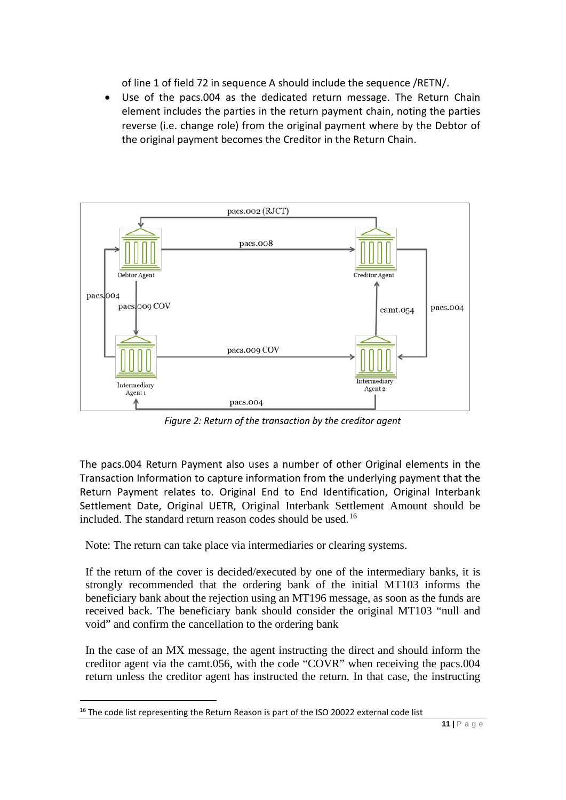of line 1 of field 72 in sequence A should include the sequence /RETN/.

• Use of the pacs.004 as the dedicated return message. The Return Chain element includes the parties in the return payment chain, noting the parties reverse (i.e. change role) from the original payment where by the Debtor of the original payment becomes the Creditor in the Return Chain.



*Figure 2: Return of the transaction by the creditor agent*

The pacs.004 Return Payment also uses a number of other Original elements in the Transaction Information to capture information from the underlying payment that the Return Payment relates to. Original End to End Identification, Original Interbank Settlement Date, Original UETR, Original Interbank Settlement Amount should be included. The standard return reason codes should be used.<sup>[16](#page-10-0)</sup>

Note: The return can take place via intermediaries or clearing systems.

If the return of the cover is decided/executed by one of the intermediary banks, it is strongly recommended that the ordering bank of the initial MT103 informs the beneficiary bank about the rejection using an MT196 message, as soon as the funds are received back. The beneficiary bank should consider the original MT103 "null and void" and confirm the cancellation to the ordering bank

In the case of an MX message, the agent instructing the direct and should inform the creditor agent via the camt.056, with the code "COVR" when receiving the pacs.004 return unless the creditor agent has instructed the return. In that case, the instructing

<span id="page-10-0"></span><sup>&</sup>lt;sup>16</sup> The code list representing the Return Reason is part of the ISO 20022 external code list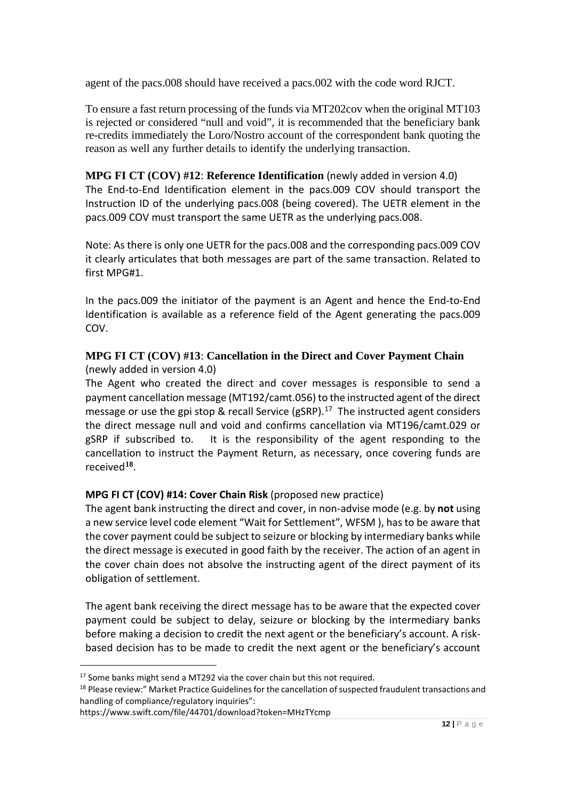agent of the pacs.008 should have received a pacs.002 with the code word RJCT.

To ensure a fast return processing of the funds via MT202cov when the original MT103 is rejected or considered "null and void", it is recommended that the beneficiary bank re-credits immediately the Loro/Nostro account of the correspondent bank quoting the reason as well any further details to identify the underlying transaction.

# **MPG FI CT (COV) #12**: **Reference Identification** (newly added in version 4.0)

The End-to-End Identification element in the pacs.009 COV should transport the Instruction ID of the underlying pacs.008 (being covered). The UETR element in the pacs.009 COV must transport the same UETR as the underlying pacs.008.

Note: As there is only one UETR for the pacs.008 and the corresponding pacs.009 COV it clearly articulates that both messages are part of the same transaction. Related to first MPG#1.

In the pacs.009 the initiator of the payment is an Agent and hence the End-to-End Identification is available as a reference field of the Agent generating the pacs.009 COV.

# **MPG FI CT (COV) #13**: **Cancellation in the Direct and Cover Payment Chain** (newly added in version 4.0)

The Agent who created the direct and cover messages is responsible to send a payment cancellation message (MT192/camt.056) to the instructed agent of the direct message or use the gpi stop & recall Service (gSRP).<sup>[17](#page-11-0)</sup> The instructed agent considers the direct message null and void and confirms cancellation via MT196/camt.029 or gSRP if subscribed to. It is the responsibility of the agent responding to the cancellation to instruct the Payment Return, as necessary, once covering funds are received**[18](#page-11-1)**.

# **MPG FI CT (COV) #14: Cover Chain Risk** (proposed new practice)

The agent bank instructing the direct and cover, in non-advise mode (e.g. by **not** using a new service level code element "Wait for Settlement", WFSM ), has to be aware that the cover payment could be subject to seizure or blocking by intermediary banks while the direct message is executed in good faith by the receiver. The action of an agent in the cover chain does not absolve the instructing agent of the direct payment of its obligation of settlement.

The agent bank receiving the direct message has to be aware that the expected cover payment could be subject to delay, seizure or blocking by the intermediary banks before making a decision to credit the next agent or the beneficiary's account. A riskbased decision has to be made to credit the next agent or the beneficiary's account

<span id="page-11-0"></span> $17$  Some banks might send a MT292 via the cover chain but this not required.

<span id="page-11-1"></span><sup>&</sup>lt;sup>18</sup> Please review:" Market Practice Guidelines for the cancellation of suspected fraudulent transactions and handling of compliance/regulatory inquiries":

https://www.swift.com/file/44701/download?token=MHzTYcmp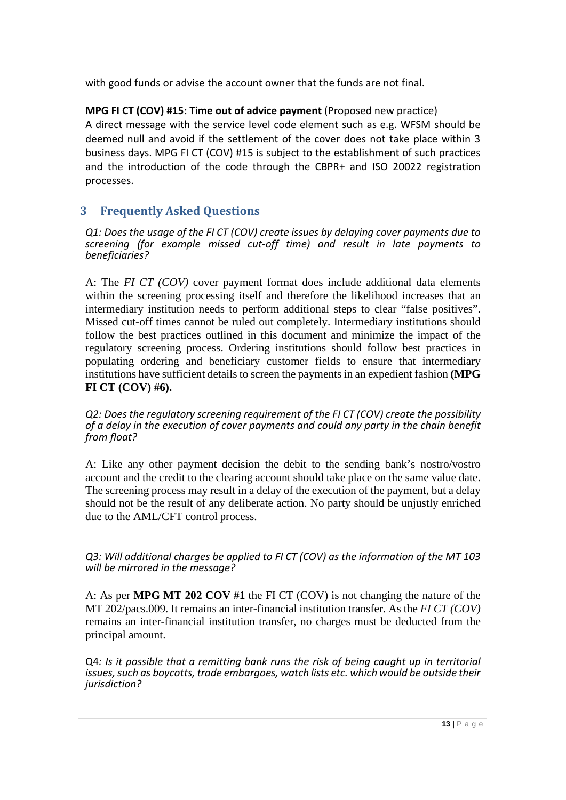with good funds or advise the account owner that the funds are not final.

# **MPG FI CT (COV) #15: Time out of advice payment** (Proposed new practice)

A direct message with the service level code element such as e.g. WFSM should be deemed null and avoid if the settlement of the cover does not take place within 3 business days. MPG FI CT (COV) #15 is subject to the establishment of such practices and the introduction of the code through the CBPR+ and ISO 20022 registration processes.

# **3 Frequently Asked Questions**

*Q1: Does the usage of the FI CT (COV) create issues by delaying cover payments due to screening (for example missed cut-off time) and result in late payments to beneficiaries?*

A: The *FI CT (COV)* cover payment format does include additional data elements within the screening processing itself and therefore the likelihood increases that an intermediary institution needs to perform additional steps to clear "false positives". Missed cut-off times cannot be ruled out completely. Intermediary institutions should follow the best practices outlined in this document and minimize the impact of the regulatory screening process. Ordering institutions should follow best practices in populating ordering and beneficiary customer fields to ensure that intermediary institutions have sufficient details to screen the payments in an expedient fashion **(MPG FI CT (COV) #6).**

*Q2: Does the regulatory screening requirement of the FI CT (COV) create the possibility of a delay in the execution of cover payments and could any party in the chain benefit from float?*

A: Like any other payment decision the debit to the sending bank's nostro/vostro account and the credit to the clearing account should take place on the same value date. The screening process may result in a delay of the execution of the payment, but a delay should not be the result of any deliberate action. No party should be unjustly enriched due to the AML/CFT control process.

*Q3: Will additional charges be applied to FI CT (COV) as the information of the MT 103 will be mirrored in the message?*

A: As per **MPG MT 202 COV #1** the FI CT (COV) is not changing the nature of the MT 202/pacs.009. It remains an inter-financial institution transfer. As the *FI CT (COV)* remains an inter-financial institution transfer, no charges must be deducted from the principal amount.

Q4*: Is it possible that a remitting bank runs the risk of being caught up in territorial issues, such as boycotts, trade embargoes, watch lists etc. which would be outside their jurisdiction?*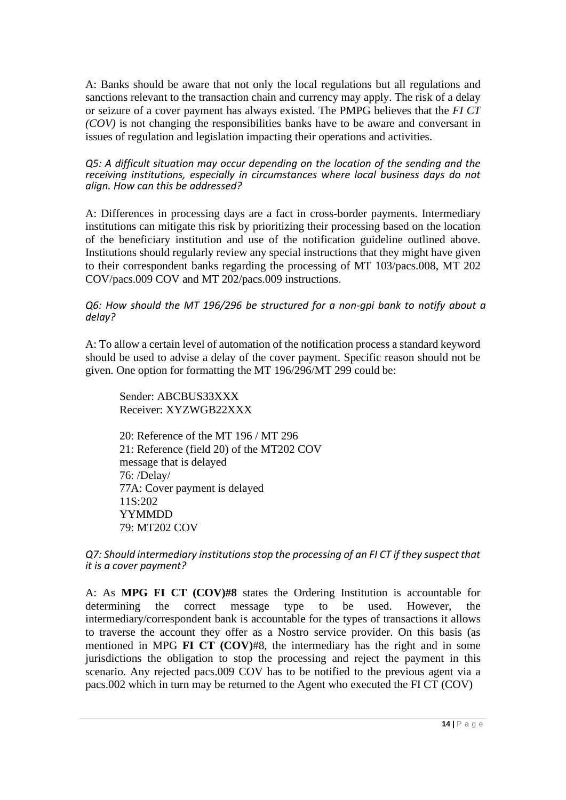A: Banks should be aware that not only the local regulations but all regulations and sanctions relevant to the transaction chain and currency may apply. The risk of a delay or seizure of a cover payment has always existed. The PMPG believes that the *FI CT (COV)* is not changing the responsibilities banks have to be aware and conversant in issues of regulation and legislation impacting their operations and activities.

*Q5: A difficult situation may occur depending on the location of the sending and the receiving institutions, especially in circumstances where local business days do not align. How can this be addressed?*

A: Differences in processing days are a fact in cross-border payments. Intermediary institutions can mitigate this risk by prioritizing their processing based on the location of the beneficiary institution and use of the notification guideline outlined above. Institutions should regularly review any special instructions that they might have given to their correspondent banks regarding the processing of MT 103/pacs.008, MT 202 COV/pacs.009 COV and MT 202/pacs.009 instructions.

#### *Q6: How should the MT 196/296 be structured for a non-gpi bank to notify about a delay?*

A: To allow a certain level of automation of the notification process a standard keyword should be used to advise a delay of the cover payment. Specific reason should not be given. One option for formatting the MT 196/296/MT 299 could be:

Sender: ABCBUS33XXX Receiver: XYZWGB22XXX

20: Reference of the MT 196 / MT 296 21: Reference (field 20) of the MT202 COV message that is delayed 76: /Delay/ 77A: Cover payment is delayed 11S:202 YYMMDD 79: MT202 COV

*Q7: Should intermediary institutions stop the processing of an FI CT if they suspect that it is a cover payment?*

A: As **MPG FI CT (COV)#8** states the Ordering Institution is accountable for determining the correct message type to be used. However, the intermediary/correspondent bank is accountable for the types of transactions it allows to traverse the account they offer as a Nostro service provider. On this basis (as mentioned in MPG **FI CT (COV)**#8, the intermediary has the right and in some jurisdictions the obligation to stop the processing and reject the payment in this scenario. Any rejected pacs.009 COV has to be notified to the previous agent via a pacs.002 which in turn may be returned to the Agent who executed the FI CT (COV)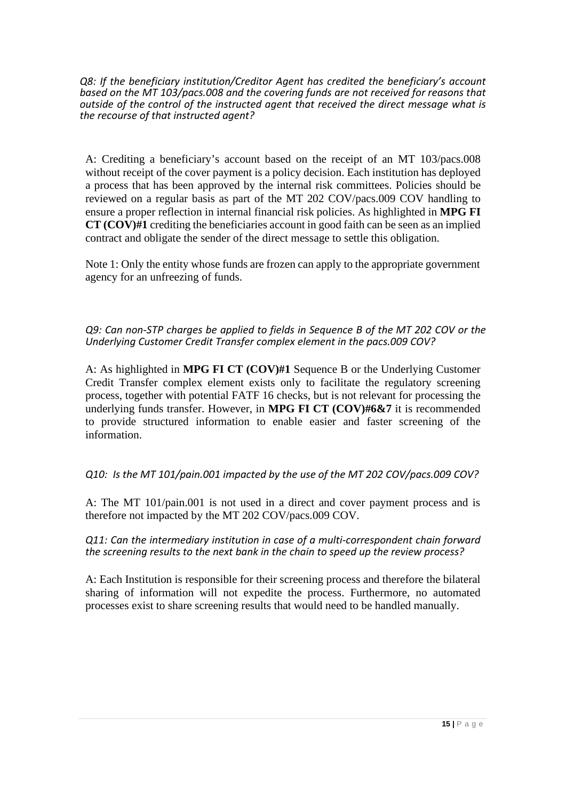*Q8: If the beneficiary institution/Creditor Agent has credited the beneficiary's account based on the MT 103/pacs.008 and the covering funds are not received for reasons that outside of the control of the instructed agent that received the direct message what is the recourse of that instructed agent?*

A: Crediting a beneficiary's account based on the receipt of an MT 103/pacs.008 without receipt of the cover payment is a policy decision. Each institution has deployed a process that has been approved by the internal risk committees. Policies should be reviewed on a regular basis as part of the MT 202 COV/pacs.009 COV handling to ensure a proper reflection in internal financial risk policies. As highlighted in **MPG FI CT (COV)#1** crediting the beneficiaries account in good faith can be seen as an implied contract and obligate the sender of the direct message to settle this obligation.

Note 1: Only the entity whose funds are frozen can apply to the appropriate government agency for an unfreezing of funds.

*Q9: Can non-STP charges be applied to fields in Sequence B of the MT 202 COV or the Underlying Customer Credit Transfer complex element in the pacs.009 COV?*

A: As highlighted in **MPG FI CT (COV)#1** Sequence B or the Underlying Customer Credit Transfer complex element exists only to facilitate the regulatory screening process, together with potential FATF 16 checks, but is not relevant for processing the underlying funds transfer. However, in **MPG FI CT (COV)#6&7** it is recommended to provide structured information to enable easier and faster screening of the information.

*Q10: Is the MT 101/pain.001 impacted by the use of the MT 202 COV/pacs.009 COV?*

A: The MT 101/pain.001 is not used in a direct and cover payment process and is therefore not impacted by the MT 202 COV/pacs.009 COV.

*Q11: Can the intermediary institution in case of a multi-correspondent chain forward the screening results to the next bank in the chain to speed up the review process?*

A: Each Institution is responsible for their screening process and therefore the bilateral sharing of information will not expedite the process. Furthermore, no automated processes exist to share screening results that would need to be handled manually.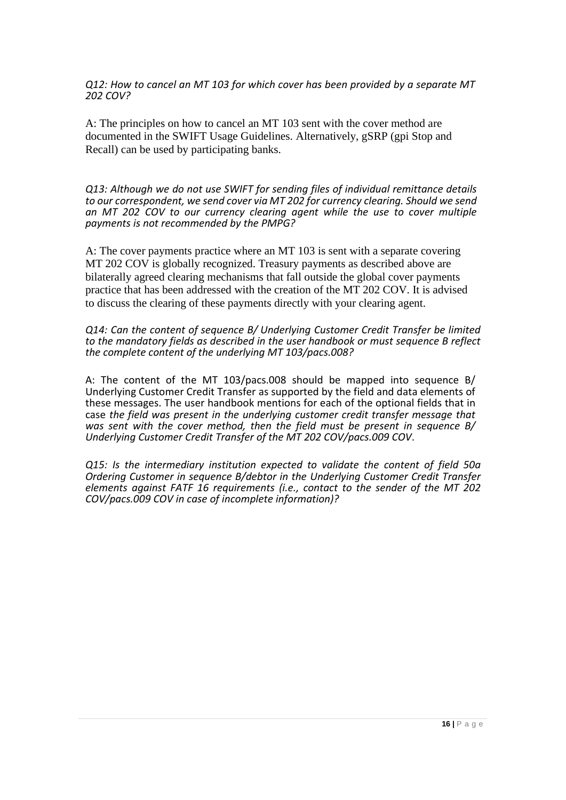*Q12: How to cancel an MT 103 for which cover has been provided by a separate MT 202 COV?*

A: The principles on how to cancel an MT 103 sent with the cover method are documented in the SWIFT Usage Guidelines. Alternatively, gSRP (gpi Stop and Recall) can be used by participating banks.

*Q13: Although we do not use SWIFT for sending files of individual remittance details to our correspondent, we send cover via MT 202 for currency clearing. Should we send an MT 202 COV to our currency clearing agent while the use to cover multiple payments is not recommended by the PMPG?*

A: The cover payments practice where an MT 103 is sent with a separate covering MT 202 COV is globally recognized. Treasury payments as described above are bilaterally agreed clearing mechanisms that fall outside the global cover payments practice that has been addressed with the creation of the MT 202 COV. It is advised to discuss the clearing of these payments directly with your clearing agent.

*Q14: Can the content of sequence B/ Underlying Customer Credit Transfer be limited to the mandatory fields as described in the user handbook or must sequence B reflect the complete content of the underlying MT 103/pacs.008?*

A: The content of the MT 103/pacs.008 should be mapped into sequence B/ Underlying Customer Credit Transfer as supported by the field and data elements of these messages. The user handbook mentions for each of the optional fields that in case *the field was present in the underlying customer credit transfer message that was sent with the cover method, then the field must be present in sequence B/ Underlying Customer Credit Transfer of the MT 202 COV/pacs.009 COV*.

*Q15: Is the intermediary institution expected to validate the content of field 50a Ordering Customer in sequence B/debtor in the Underlying Customer Credit Transfer elements against FATF 16 requirements (i.e., contact to the sender of the MT 202 COV/pacs.009 COV in case of incomplete information)?*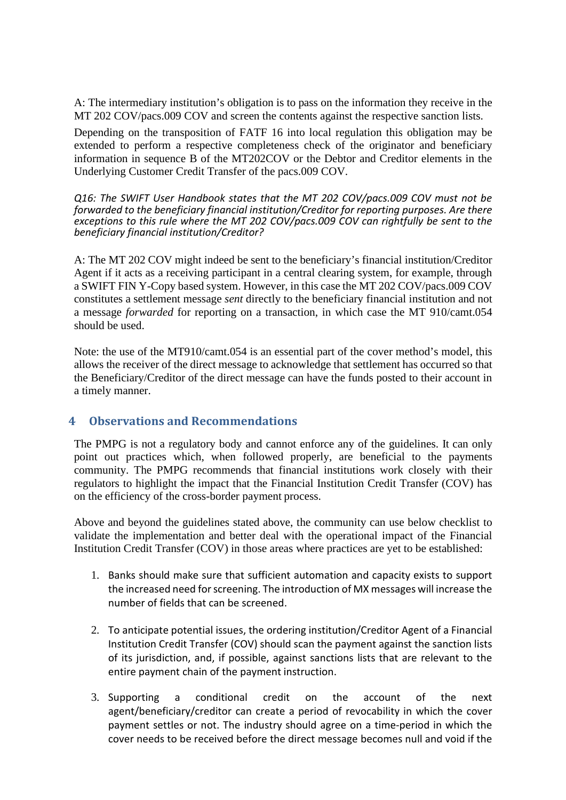A: The intermediary institution's obligation is to pass on the information they receive in the MT 202 COV/pacs.009 COV and screen the contents against the respective sanction lists.

Depending on the transposition of FATF 16 into local regulation this obligation may be extended to perform a respective completeness check of the originator and beneficiary information in sequence B of the MT202COV or the Debtor and Creditor elements in the Underlying Customer Credit Transfer of the pacs.009 COV.

*Q16: The SWIFT User Handbook states that the MT 202 COV/pacs.009 COV must not be forwarded to the beneficiary financial institution/Creditor for reporting purposes. Are there exceptions to this rule where the MT 202 COV/pacs.009 COV can rightfully be sent to the beneficiary financial institution/Creditor?*

A: The MT 202 COV might indeed be sent to the beneficiary's financial institution/Creditor Agent if it acts as a receiving participant in a central clearing system, for example, through a SWIFT FIN Y-Copy based system. However, in this case the MT 202 COV/pacs.009 COV constitutes a settlement message *sent* directly to the beneficiary financial institution and not a message *forwarded* for reporting on a transaction, in which case the MT 910/camt.054 should be used.

Note: the use of the MT910/camt.054 is an essential part of the cover method's model, this allows the receiver of the direct message to acknowledge that settlement has occurred so that the Beneficiary/Creditor of the direct message can have the funds posted to their account in a timely manner.

# **4 Observations and Recommendations**

The PMPG is not a regulatory body and cannot enforce any of the guidelines. It can only point out practices which, when followed properly, are beneficial to the payments community. The PMPG recommends that financial institutions work closely with their regulators to highlight the impact that the Financial Institution Credit Transfer (COV) has on the efficiency of the cross-border payment process.

Above and beyond the guidelines stated above, the community can use below checklist to validate the implementation and better deal with the operational impact of the Financial Institution Credit Transfer (COV) in those areas where practices are yet to be established:

- 1. Banks should make sure that sufficient automation and capacity exists to support the increased need forscreening. The introduction of MX messages will increase the number of fields that can be screened.
- 2. To anticipate potential issues, the ordering institution/Creditor Agent of a Financial Institution Credit Transfer (COV) should scan the payment against the sanction lists of its jurisdiction, and, if possible, against sanctions lists that are relevant to the entire payment chain of the payment instruction.
- 3. Supporting a conditional credit on the account of the next agent/beneficiary/creditor can create a period of revocability in which the cover payment settles or not. The industry should agree on a time-period in which the cover needs to be received before the direct message becomes null and void if the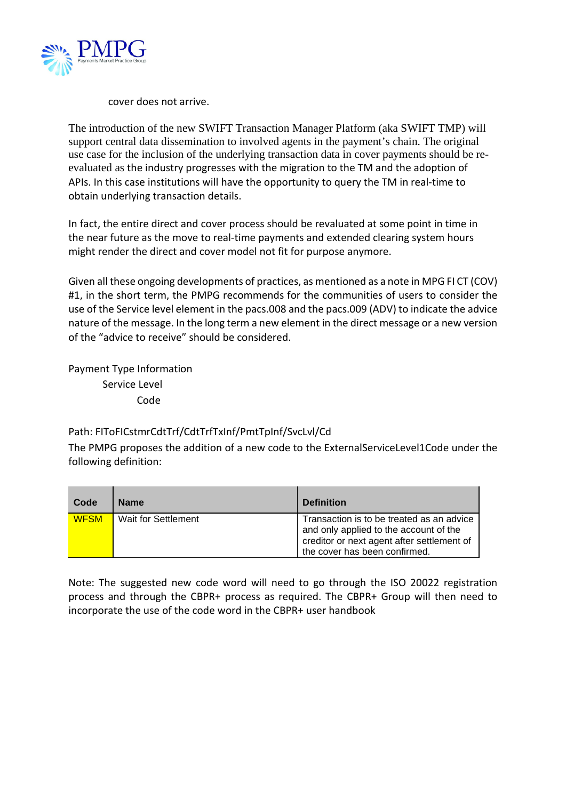

cover does not arrive.

The introduction of the new SWIFT Transaction Manager Platform (aka SWIFT TMP) will support central data dissemination to involved agents in the payment's chain. The original use case for the inclusion of the underlying transaction data in cover payments should be reevaluated as the industry progresses with the migration to the TM and the adoption of APIs. In this case institutions will have the opportunity to query the TM in real-time to obtain underlying transaction details.

In fact, the entire direct and cover process should be revaluated at some point in time in the near future as the move to real-time payments and extended clearing system hours might render the direct and cover model not fit for purpose anymore.

Given all these ongoing developments of practices, as mentioned as a note in MPG FI CT (COV) #1, in the short term, the PMPG recommends for the communities of users to consider the use of the Service level element in the pacs.008 and the pacs.009 (ADV) to indicate the advice nature of the message. In the long term a new element in the direct message or a new version of the "advice to receive" should be considered.

Payment Type Information Service Level Code

# Path: FIToFICstmrCdtTrf/CdtTrfTxInf/PmtTpInf/SvcLvl/Cd

The PMPG proposes the addition of a new code to the ExternalServiceLevel1Code under the following definition:

| Code        | <b>Name</b>         | <b>Definition</b>                                                                                                                                                  |
|-------------|---------------------|--------------------------------------------------------------------------------------------------------------------------------------------------------------------|
| <b>WFSM</b> | Wait for Settlement | Transaction is to be treated as an advice<br>and only applied to the account of the<br>creditor or next agent after settlement of<br>the cover has been confirmed. |

Note: The suggested new code word will need to go through the ISO 20022 registration process and through the CBPR+ process as required. The CBPR+ Group will then need to incorporate the use of the code word in the CBPR+ user handbook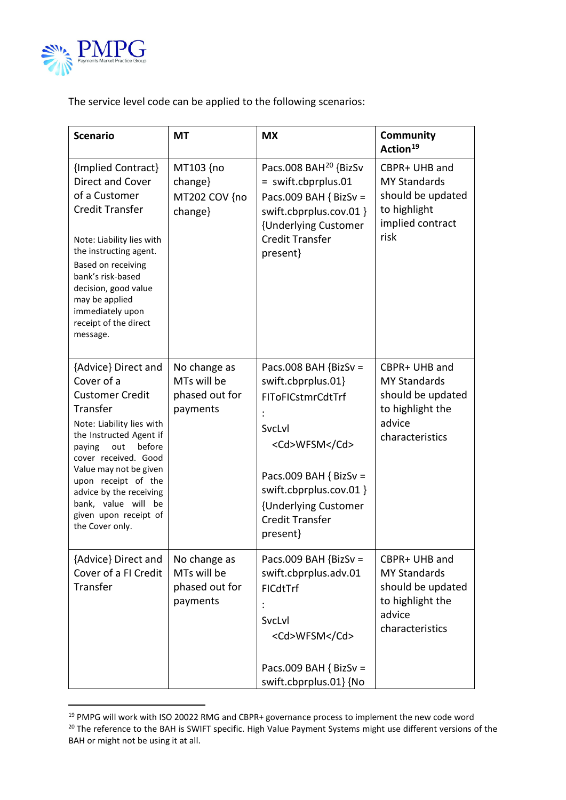

The service level code can be applied to the following scenarios:

| <b>Scenario</b>                                                                                                                                                                                                                                                                                                                   | <b>MT</b>                                                 | <b>MX</b>                                                                                                                                                                                                         | Community<br>Action <sup>19</sup>                                                                          |
|-----------------------------------------------------------------------------------------------------------------------------------------------------------------------------------------------------------------------------------------------------------------------------------------------------------------------------------|-----------------------------------------------------------|-------------------------------------------------------------------------------------------------------------------------------------------------------------------------------------------------------------------|------------------------------------------------------------------------------------------------------------|
| {Implied Contract}<br>Direct and Cover<br>of a Customer<br><b>Credit Transfer</b><br>Note: Liability lies with<br>the instructing agent.<br>Based on receiving<br>bank's risk-based<br>decision, good value<br>may be applied<br>immediately upon<br>receipt of the direct<br>message.                                            | MT103 {no<br>change}<br>MT202 COV {no<br>change}          | Pacs.008 BAH <sup>20</sup> {BizSv<br>= swift.cbprplus.01<br>Pacs.009 BAH { BizSv =<br>swift.cbprplus.cov.01 }<br>{Underlying Customer<br><b>Credit Transfer</b><br>present}                                       | CBPR+ UHB and<br><b>MY Standards</b><br>should be updated<br>to highlight<br>implied contract<br>risk      |
| {Advice} Direct and<br>Cover of a<br><b>Customer Credit</b><br>Transfer<br>Note: Liability lies with<br>the Instructed Agent if<br>before<br>out<br>paying<br>cover received. Good<br>Value may not be given<br>upon receipt of the<br>advice by the receiving<br>bank, value will be<br>given upon receipt of<br>the Cover only. | No change as<br>MTs will be<br>phased out for<br>payments | Pacs.008 BAH $\{BizSv =$<br>swift.cbprplus.01}<br>FIToFICstmrCdtTrf<br>SvcLvl<br><cd>WFSM</cd><br>Pacs.009 BAH { BizSv =<br>swift.cbprplus.cov.01 }<br>{Underlying Customer<br><b>Credit Transfer</b><br>present} | CBPR+ UHB and<br><b>MY Standards</b><br>should be updated<br>to highlight the<br>advice<br>characteristics |
| {Advice} Direct and<br>Cover of a FI Credit<br>Transfer                                                                                                                                                                                                                                                                           | No change as<br>MTs will be<br>phased out for<br>payments | Pacs.009 BAH {BizSv =<br>swift.cbprplus.adv.01<br><b>FICdtTrf</b><br>SvcLvl<br><cd>WFSM</cd><br>Pacs.009 BAH { BizSv =<br>swift.cbprplus.01} {No                                                                  | CBPR+ UHB and<br><b>MY Standards</b><br>should be updated<br>to highlight the<br>advice<br>characteristics |

<span id="page-18-0"></span><sup>&</sup>lt;sup>19</sup> PMPG will work with ISO 20022 RMG and CBPR+ governance process to implement the new code word

<span id="page-18-1"></span><sup>&</sup>lt;sup>20</sup> The reference to the BAH is SWIFT specific. High Value Payment Systems might use different versions of the BAH or might not be using it at all.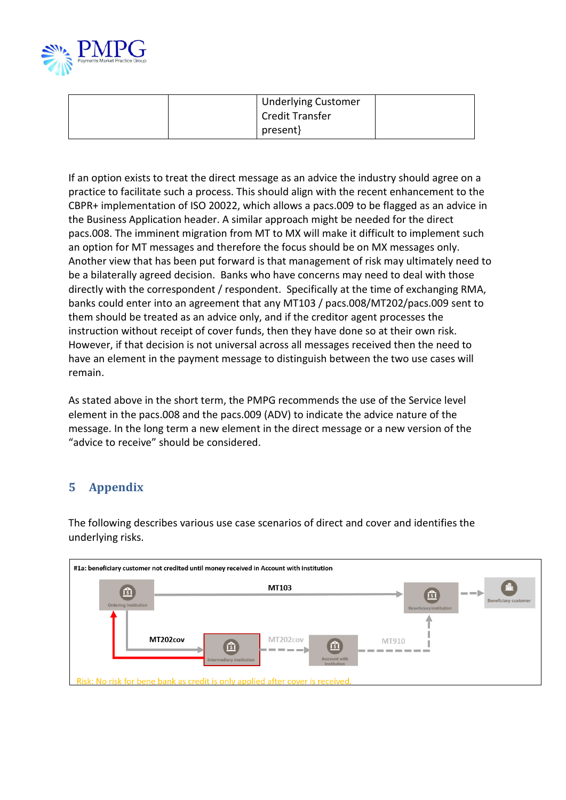

| <b>Underlying Customer</b><br><b>Credit Transfer</b> |  |
|------------------------------------------------------|--|
| present}                                             |  |

If an option exists to treat the direct message as an advice the industry should agree on a practice to facilitate such a process. This should align with the recent enhancement to the CBPR+ implementation of ISO 20022, which allows a pacs.009 to be flagged as an advice in the Business Application header. A similar approach might be needed for the direct pacs.008. The imminent migration from MT to MX will make it difficult to implement such an option for MT messages and therefore the focus should be on MX messages only. Another view that has been put forward is that management of risk may ultimately need to be a bilaterally agreed decision. Banks who have concerns may need to deal with those directly with the correspondent / respondent. Specifically at the time of exchanging RMA, banks could enter into an agreement that any MT103 / pacs.008/MT202/pacs.009 sent to them should be treated as an advice only, and if the creditor agent processes the instruction without receipt of cover funds, then they have done so at their own risk. However, if that decision is not universal across all messages received then the need to have an element in the payment message to distinguish between the two use cases will remain.

As stated above in the short term, the PMPG recommends the use of the Service level element in the pacs.008 and the pacs.009 (ADV) to indicate the advice nature of the message. In the long term a new element in the direct message or a new version of the "advice to receive" should be considered.

# **5 Appendix**

The following describes various use case scenarios of direct and cover and identifies the underlying risks.

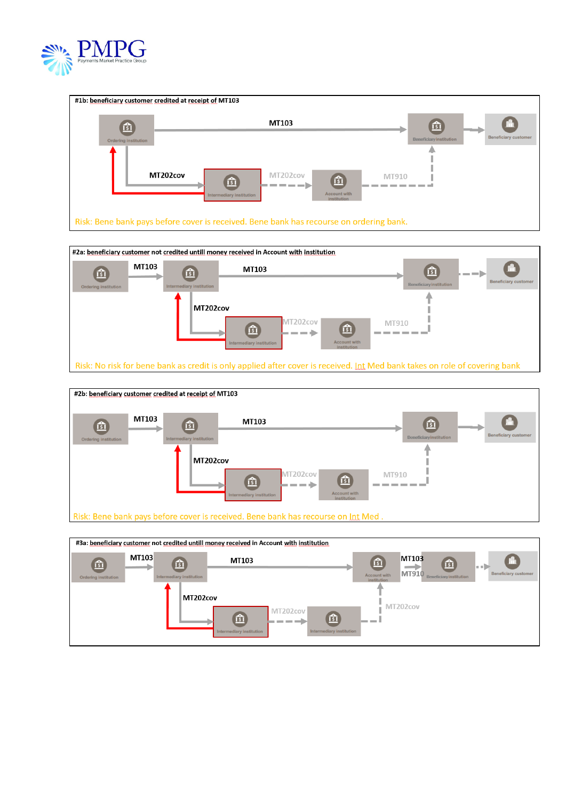